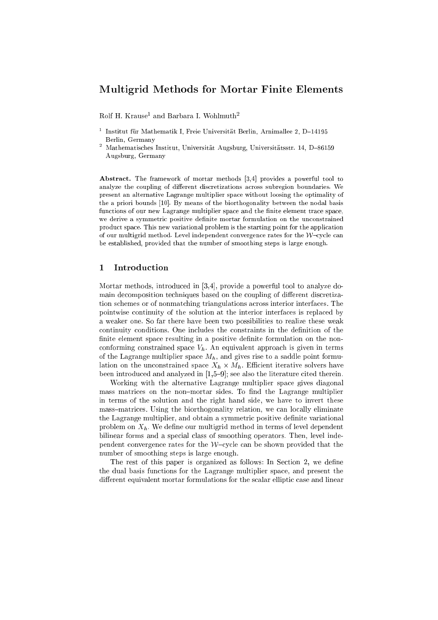# Multigrid Methods for Mortar Finite Elements

Rolf H. Krause and Barbara I. Wohlmuth-

- t Institut fur Mathematik I, Freie Universitat Berlin, Arnimallee 2, D-14195 Berlin, Germany
- <sup>-</sup> Mathematisches Institut, Universitat Augsburg, Universitatsstr. 14, D-86159 Augsburg, Germany

Abstract. The framework of mortar methods [3,4] provides a powerful tool to analyze the coupling of different discretizations across subregion boundaries. We present an alternative Lagrange multiplier spa
e without loosing the optimality of the a priori bounds  $[10]$ . By means of the biorthogonality between the nodal basis functions of our new Lagrange multiplier space and the finite element trace space, we derive a symmetric positive definite mortar formulation on the unconstrained product space. This new variational problem is the starting point for the application of our multigrid method. Level independent convergence rates for the  $W$ -cycle can be established, provided that the number of smoothing steps is large enough.

## <sup>1</sup> Introdu
tion

Mortar methods, introduced in  $[3,4]$ , provide a powerful tool to analyze domain decomposition techniques based on the coupling of different discretization s
hemes or of nonmat
hing triangulations a
ross interior interfa
es. The pointwise ontinuity of the solution at the interior interfa
es is repla
ed by a weaker one. So far there have been two possibilities to realize these weak continuity conditions. One includes the constraints in the definition of the finite element space resulting in a positive definite formulation on the nonconforming constrained space  $V<sub>h</sub>$ . An equivalent approach is given in terms of the Lagrange multiplier space  $M_h$ , and gives rise to a saddle point formulation on the unclearned space of  $\| \cdot \|$  . Each constraint iterative solvers have been introduced and analyzed in  $[1,5{-}9]$ ; see also the literature cited therein.

Working with the alternative Lagrange multiplier spa
e gives diagonal mass matrices on the non-mortar sides. To find the Lagrange multiplier in terms of the solution and the right hand side, we have to invert these mass–matrices. Using the biorthogonality relation, we can locally eliminate the Lagrange multiplier, and obtain a symmetric positive definite variational problem on  $X_h$ . We define our multigrid method in terms of level dependent bilinear forms and a special class of smoothing operators. Then, level independent convergence rates for the  $W$ -cycle can be shown provided that the number of smoothing steps is large enough.

The rest of this paper is organized as follows: In Section 2, we define the dual basis fun
tions for the Lagrange multiplier spa
e, and present the different equivalent mortar formulations for the scalar elliptic case and linear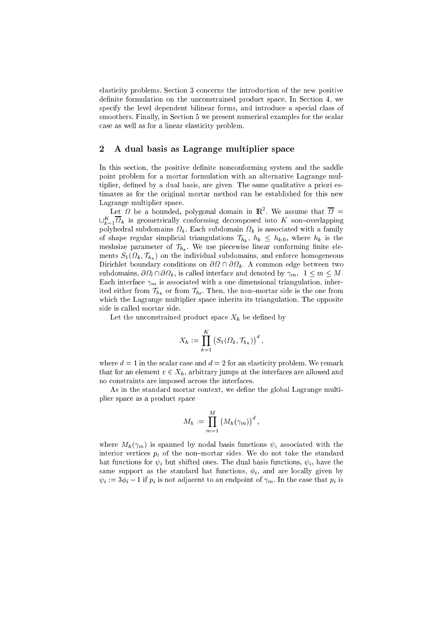elasti
ity problems. Se
tion 3 on
erns the introdu
tion of the new positive definite formulation on the unconstrained product space. In Section 4, we specify the level dependent bilinear forms, and introduce a special class of smoothers. Finally, in Section 5 we present numerical examples for the scalar ase as well as for a linear elasti
ity problem.

## 2 A dual basis as Lagrange multiplier spa
e

In this section, the positive definite nonconforming system and the saddle point problem for a mortar formulation with an alternative Lagrange multiplier, defined by a dual basis, are given. The same qualitative a priori estimates as for the original mortar method an be established for this new Lagrange multiplier spa
e.

Let  $\mathcal U$  be a bounded, polygonal domain in  $\mathbb R^+$ . We assume that  $\mathcal U=$  $\cup_{k=1}^{\infty}$  is geometrically comorming decomposed into  $K$  non-overlapping polyhedral subdomains  $\mathbf{r}$  is associated with a familiar form of the family  $\mathbf{r}$ of shape regular simplicial triangulations  $\mathcal{T}_{h_k}$ ,  $h_k \leq h_{k,0}$ , where  $h_k$  is the meshsize parameter of  $\mathcal{T}_{h_k}$ . We use piecewise linear conforming finite elements  $\sim$  1 (  $\sim$   $\mu$  )  $\rightarrow$   $\mu$   $\mu$  ) and the individual subdomains, and enforces the individual  $\Omega$  and enforces  $\sim$  . A successive boundary on the state on  $\mathbb{R}^n$  . A constraint two properties on the state  $\mathbb{R}^n$ subdomains, we have alled interface and denoted by  $\mu_{\rm{H}}$  ,  $\mu_{\rm{H}}$  , and  $\mu_{\rm{H}}$ Each interface  $\gamma_m$  is associated with a one dimensional triangulation, inherited either from The non-from Theorem Theorem Theorem Theorem Theorem Theorem Theorem Theorem Theorem Theorem Theorem Theorem Theorem Theorem Theorem Theorem Theorem Theorem Theorem Theorem Theorem Theorem Theorem Theorem whi
h the Lagrange multiplier spa
e inherits its triangulation. The opposite side is alled mortar side.

Let the unconstrained product space  $X_h$  be defined by

$$
X_h := \prod_{k=1}^K \left( S_1(\Omega_k, \mathcal{T}_{h_k}) \right)^d,
$$

where  $d = 1$  in the scalar case and  $d = 2$  for an elasticity problem. We remark that for an element  $v \in X_h$ , arbitrary jumps at the interfaces are allowed and no onstraints are imposed a
ross the interfa
es.

As in the standard mortar context, we define the global Lagrange multiplier spa
e as a produ
t spa
e

$$
M_h := \prod_{m=1}^M (M_h(\gamma_m))^d,
$$

where  $M_h(\gamma_m)$  is spanned by nodal basis functions  $\psi_i$  associated with the interior vertices  $p_i$  of the non-mortar sides. We do not take the standard hat functions for  $\psi_i$  but shifted ones. The dual basis functions,  $\psi_i$ , have the same support as the standard hat functions,  $\phi_i$ , and are locally given by  $\psi_i := 3\phi_i - 1$  if  $p_i$  is not adjacent to an endpoint of  $\gamma_m$ . In the case that  $p_i$  is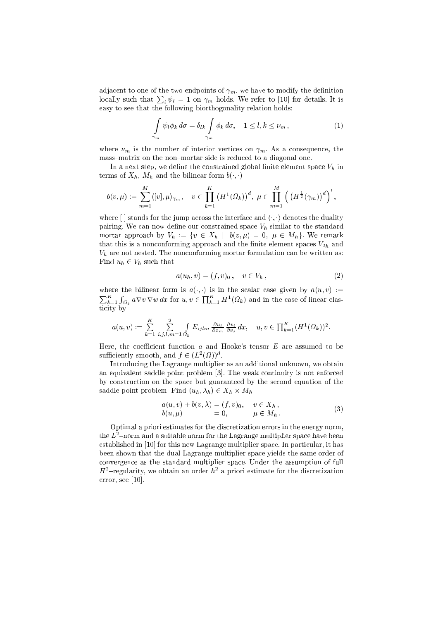adjacent to one of the two endpoints of  $\gamma_m,$  we have to modify the definition locally such that  $\sum_i \psi_i = 1$  on  $\gamma_m$  holds. We refer to [10] for details. It is easy to see that the following biorthogonality relation holds:

$$
\int_{\gamma_m} \psi_l \phi_k \, d\sigma = \delta_{lk} \int_{\gamma_m} \phi_k \, d\sigma, \quad 1 \le l, k \le \nu_m \,, \tag{1}
$$

where  $\nu_m$  is the number of interior vertices on  $\gamma_m$ . As a consequence, the mass-matrix on the non-mortar side is reduced to a diagonal one.

In a next step, we define the constrained global finite element space  $V<sub>h</sub>$  in terms of  $X_h$ ,  $M_h$  and the bilinear form  $b(\cdot, \cdot)$ 

$$
b(v,\mu) := \sum_{m=1}^M \langle [v], \mu \rangle_{\gamma_m}, \quad v \in \prod_{k=1}^K \left( H^1(\Omega_k) \right)^d, \mu \in \prod_{m=1}^M \left( \left( H^{\frac{1}{2}}(\gamma_m) \right)^d \right)',
$$

where  $\left[\cdot\right]$  stands for the jump across the interface and  $\langle \cdot, \cdot \rangle$  denotes the duality pairing. We can now define our constrained space  $V<sub>h</sub>$  similar to the standard mortar approach by  $V_h := \{v \in X_h \mid b(v, \mu) = 0, \mu \in M_h\}.$  We remark that this is a nonconforming approach and the finite element spaces  $V_{2h}$  and  $V<sub>h</sub>$  are not nested. The nonconforming mortar formulation can be written as: Find  $u_h \in V_h$  such that

$$
a(u_h, v) = (f, v)_0 \,, \quad v \in V_h \,, \tag{2}
$$

where the bilinear form is  $a(\cdot, \cdot)$  is in the scalar case given by  $a(u, v) :=$  $\sum_{k=1}^K \int_{\Omega_k} a \nabla v \nabla w \, dx$  for  $u, v \in \prod_{k=1}^K H^1(\Omega_k)$  and in the case of linear elasticity by

$$
a(u,v) := \sum_{k=1}^K \sum_{i,j,l,m=1}^2 \int_{\Omega_k} E_{ijlm} \frac{\partial u_l}{\partial x_m} \frac{\partial v_i}{\partial v_j} dx, \quad u, v \in \prod_{k=1}^K (H^1(\Omega_k))^2.
$$

Here, the coefficient function  $a$  and Hooke's tensor  $E$  are assumed to be sufficiently smooth, and  $f \in (L^2(\Omega))^d$ .

Introducing the Lagrange multiplier as an additional unknown, we obtain an equivalent saddle point problem [3]. The weak continuity is not enforced by construction on the space but guaranteed by the second equation of the saddle point problem: Find  $(u_h, \lambda_h) \in X_h \times M_h$ 

$$
a(u, v) + b(v, \lambda) = (f, v)_0, \quad v \in X_h,
$$
  
\n
$$
b(u, \mu) = 0, \qquad \mu \in M_h.
$$
 (3)

Optimal a priori estimates for the discretization errors in the energy norm, the  $L^2$ -norm and a suitable norm for the Lagrange multiplier space have been established in [10] for this new Lagrange multiplier space. In particular, it has been shown that the dual Lagrange multiplier space yields the same order of convergence as the standard multiplier space. Under the assumption of full  $H^2$ -regularity, we obtain an order  $h^2$  a priori estimate for the discretization error, see  $[10]$ .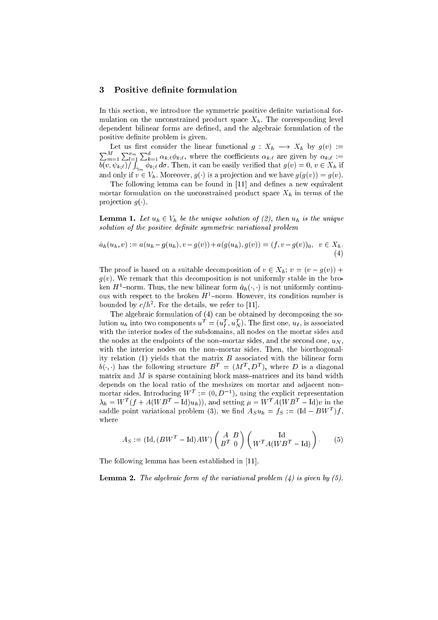## 3 Positive definite formulation

In this se
tion, we introdu
e the symmetri positive denite variational formulation on the unconstrained product space  $X_h$ . The corresponding level dependent bilinear forms are defined, and the algebraic formulation of the positive definite problem is given.

 $\sum_{n=1}^{M} \sum_{n=1}^{M} \sum_{n=1}^{M} d_n$  $_{m=1}^{M} \sum_{l=1}^{V_m}$  $\sum_{k=1}^{a} \alpha_{k;\ell} \phi_{k;\ell}$ , where the coefficients  $\alpha_{k;\ell}$  are given by  $\alpha_{k;\ell} :=$  $\cdot$  \  $\cdot$  i  $\cdot$  f factors if <sup>R</sup>  $\gamma_m$  in  $\mu$ , it is an anomaly verified that  $g(\cdot)$  = 0, v 2  $\pm \mu$  if and only if  $v \in V_h$ . Moreover,  $g(v)$  is a projection and we have  $g(g(v)) = g(v)$ .

The following lemma can be found in [11] and defines a new equivalent mortar formulation on the unconstrained product space  $X_h$  in terms of the projection  $g(.)$ .

**Lemma 1.** Let  $u_h \in V_h$  be the unique solution of (2), then  $u_h$  is the unique solution of the positive definite symmetric variational problem

$$
\hat{a}_h(u_h, v) := a(u_h - g(u_h), v - g(v)) + a(g(u_h), g(v)) = (f, v - g(v))_0, v \in X_h.
$$
\n(4)

The proof is based on a suitable decomposition of  $v \in X_h$ ;  $v = (v - g(v)) +$  $g(v)$ . We remark that this decomposition is not uniformly stable in the broken  $H$  -norm. Thus, the new bilinear form  $a_h(\cdot, \cdot)$  is not uniformly continuous with respect to the broken  $\pi$  -norm. However, its condition number is bounded by  $c/n^2$ . For the details, we refer to [11].

The algebraic formulation of (4) can be obtained by decomposing the solution  $u_h$  into two components  $u^- = (u_{\bar I}^-, u_{\bar N}^-)$ . I ne first one,  $u_I$ , is associated with the interior nodes of the subdomains, all nodes on the mortar sides and the nodes at the endpoints of the non-mortar sides, and the second one,  $u_N$ , with the interior nodes on the non-mortar sides. Then, the biorthogonality relation  $(1)$  yields that the matrix  $B$  associated with the bilinear form  $v(\cdot, \cdot)$  has the following structure  $B^+ \equiv (M^+, D^+)$ , where  $D$  is a diagonal matrix and  $M$  is sparse containing block mass-matrices and its band width depends on the local ratio of the meshsizes on mortar and adjacent nonmortar sides. Introducing  $W^- := (0, D^-)$ , using the explicit representation  $\lambda_h = W_{-1} + A(W_{-}B_{-}) = \text{Id}(u_h),$  and setting  $\mu = W_{-}A(W_{-}B_{-}) = \text{Id}(v)$  in the saddle point variational problem (3), we find  $Asu_h = \textit{fs} := \textit{(id} - \textit{BW}^{-})\textit{f}$ , where

$$
A_S := (\text{Id}, (BW^T - \text{Id})AW) \begin{pmatrix} A & B \\ B^T & 0 \end{pmatrix} \begin{pmatrix} \text{Id} \\ W^T A (WB^T - \text{Id}) \end{pmatrix}.
$$
 (5)

The following lemma has been established in  $[11]$ .

**Lemma 2.** The algebraic form of the variational problem  $(4)$  is given by  $(5)$ .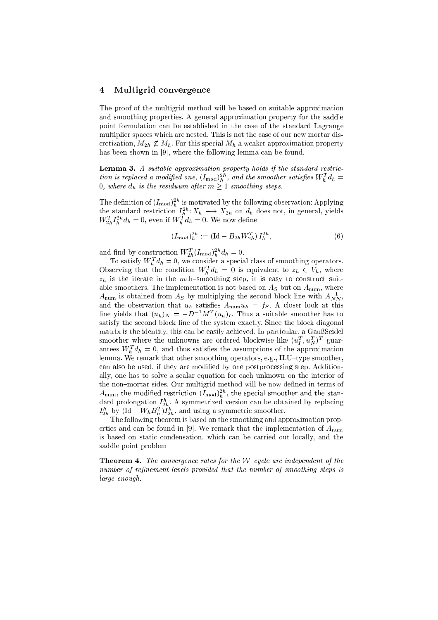#### 4 Multigrid convergence

The proof of the multigrid method will be based on suitable approximation and smoothing properties. A general approximation property for the saddle point formulation an be established in the ase of the standard Lagrange multiplier spa
es whi
h are nested. This is not the ase of our new mortar dis cretization,  $M_{2h} \not\subset M_h$ . For this special  $M_h$  a weaker approximation property has been shown in  $[9]$ , where the following lemma can be found.

Lemma 3. A suitable approximation property holds if the standard restriction is replaced a modified one,  $(I_{\text{mod}})_h^{2n}$ , and the smoother satisfies  $W_h^T d_h =$ 0, where  $d_h$  is the residuum after  $m \geq 1$  smoothing steps.

The definition of  $(I_{\rm mod})_h^{2n}$  is motivated by the following observation: Applying the standard restriction  $I_h^{2n}: X_h \longrightarrow X_{2h}$  on  $d_h$  does not, in general, yields  $W_{2h}^I I_h^{2n} d_h = 0$ , even if  $W_h^I d_h = 0$ . We now define

$$
(I_{\text{mod}})^{2h}_h := (\text{Id} - B_{2h} W_{2h}^T) I_h^{2h}, \tag{6}
$$

and find by construction  $W_{2h}^I(I_{\text{mod}})_h^{2h}d_h=0.$ 

To satisfy  $W_h^T d_h = 0$ , we consider a special class of smoothing operators. Observing that the condition  $W_h^T d_h = 0$  is equivalent to  $z_h \in V_h$ , where  $z_h$  is the iterate in the mth-smoothing step, it is easy to construct suitable smoothers. The implementation is not based on  $A<sub>S</sub>$  but on  $A<sub>num</sub>$ , where  $A_{\text{num}}$  is obtained from  $A_S$  by multiplying the second block line with  $A_{NN}^{-1}$ , and the observation that  $u_h$  satisfies  $A_{\text{num}} u_h = f_S$ . A closer look at this line yields that  $(u_h)_N = -D^{-1}M^T(u_h)_I$ . Thus a suitable smoother has to satisfy the second block line of the system exactly. Since the block diagonal matrix is the identity, this can be easily achieved. In particular, a GaußSeidel smoother where the unknowns are ordered blockwise like  $(u^\ast_l, u^\star_N)^\ast$  guarantees  $W_h^T d_h = 0$ , and thus satisfies the assumptions of the approximation lemma. We remark that other smoothing operators, e.g., ILU-type smoother, can also be used, if they are modified by one postprocessing step. Additionally, one has to solve a s
alar equation for ea
h unknown on the interior of the non-mortar sides. Our multigrid method will be now defined in terms of  $A_{\text{num}}$ , the modified restriction  $(I_{\text{mod}})_h^{2h}$ , the special smoother and the standard prolongation  $I_{2h}^n$ . A symmetrized version can be obtained by replacing  $I_{2h}^n$  by  $(\text{Id} - W_h B_h^T) I_{2h}^n$ , and using a symmetric smoother.

The following theorem is based on the smoothing and approximation properties and can be found in [9]. We remark that the implementation of  $A_{\text{num}}$ is based on static condensation, which can be carried out locally, and the saddle point problem.

**Theorem 4.** The convergence rates for the W-cycle are independent of the number of refinement levels provided that the number of smoothing steps is large enough.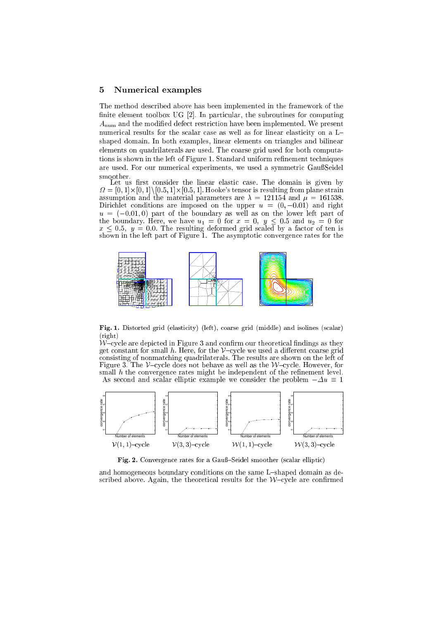### <sup>5</sup> Numeri
al examples

The method des
ribed above has been implemented in the framework of the finite element toolbox UG [2]. In particular, the subroutines for computing  $A_{\text{num}}$  and the modified defect restriction have been implemented. We present numerical results for the scalar case as well as for linear elasticity on a Lshaped domain. In both examples, linear elements on triangles and bilinear elements on quadrilaterals are used. The coarse grid used for both computations is shown in the left of Figure 1. Standard uniform refinement techniques are used. For our numerical experiments, we used a symmetric GaußSeidel

Let us first consider the linear elastic case. The domain is given by  $\Omega = [0,1] \times [0,1] \setminus [0.5,1] \times [0.5,1]$ . Hooke's tensor is resulting from plane strain assumption and the material parameters are  $\lambda = 121154$  and  $\mu = 161538$ . Dirichlet conditions are imposed on the upper  $u = (0, -0.01)$  and right  $u = (-0.01, 0)$  part of the boundary as well as on the lower left part of the boundary. Here, we have  $u_1 = 0$  for  $x = 0$ ,  $y \le 0.5$  and  $u_2 = 0$  for  $x \leq 0.5$ ,  $y = 0.0$ . The resulting deformed grid scaled by a factor of ten is shown in the left part of Figure 1. The asymptotic convergence rates for the



Fig. 1. Distorted grid (elasticity) (left), coarse grid (middle) and isolines (scalar) (right)

 $W$ -cycle are depicted in Figure 3 and confirm our theoretical findings as they get constant for small h. Here, for the  $V$ -cycle we used a different coarse grid consisting of nonmatching quadrilaterals. The results are shown on the left of Figure 3. The V-cycle does not behave as well as the W-cycle. However, for small h the convergence rates might be independent of the refinement level. As second and scalar elliptic example we consider the problem  $-\Delta u \equiv 1$ 



Fig. 2. Convergence rates for a Gauß-Seidel smoother (scalar elliptic)

and homogeneous boundary conditions on the same L-shaped domain as described above. Again, the theoretical results for the  $W$ -cycle are confirmed